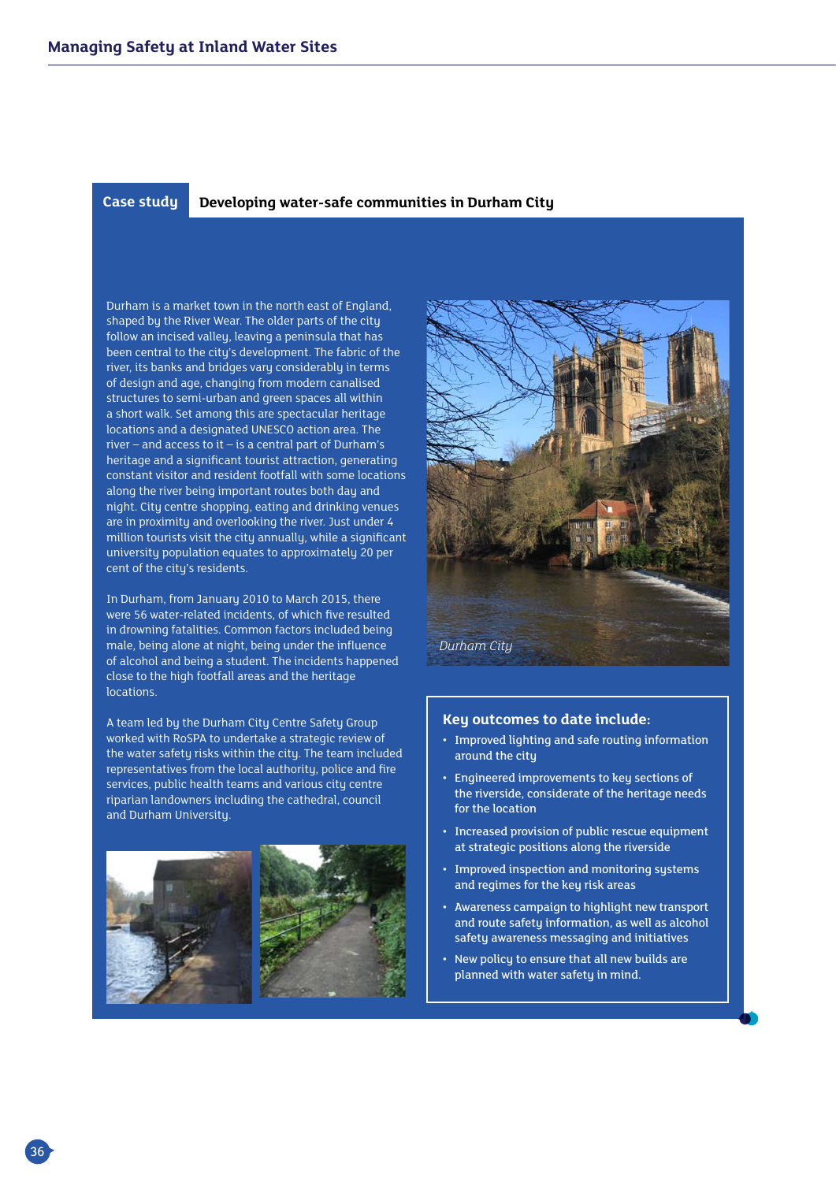## **Case study Developing water-safe communities in Durham City**

Durham is a market town in the north east of England, shaped by the River Wear. The older parts of the city follow an incised valley, leaving a peninsula that has been central to the city's development. The fabric of the river, its banks and bridges vary considerably in terms of design and age, changing from modern canalised structures to semi-urban and green spaces all within a short walk. Set among this are spectacular heritage locations and a designated UNESCO action area. The river – and access to it – is a central part of Durham's heritage and a significant tourist attraction, generating constant visitor and resident footfall with some locations along the river being important routes both day and night. City centre shopping, eating and drinking venues are in proximity and overlooking the river. Just under 4 million tourists visit the city annually, while a significant university population equates to approximately 20 per cent of the city's residents.

In Durham, from January 2010 to March 2015, there were 56 water-related incidents, of which five resulted in drowning fatalities. Common factors included being male, being alone at night, being under the influence of alcohol and being a student. The incidents happened close to the high footfall areas and the heritage locations.

A team led by the Durham City Centre Safety Group worked with RoSPA to undertake a strategic review of the water safety risks within the city. The team included representatives from the local authority, police and fire services, public health teams and various city centre riparian landowners including the cathedral, council and Durham University.





## **Key outcomes to date include:**

- Improved lighting and safe routing information around the city
- Engineered improvements to key sections of the riverside, considerate of the heritage needs for the location
- Increased provision of public rescue equipment at strategic positions along the riverside
- Improved inspection and monitoring systems and regimes for the key risk areas
- Awareness campaign to highlight new transport and route safety information, as well as alcohol safety awareness messaging and initiatives
- New policy to ensure that all new builds are planned with water safety in mind.

36